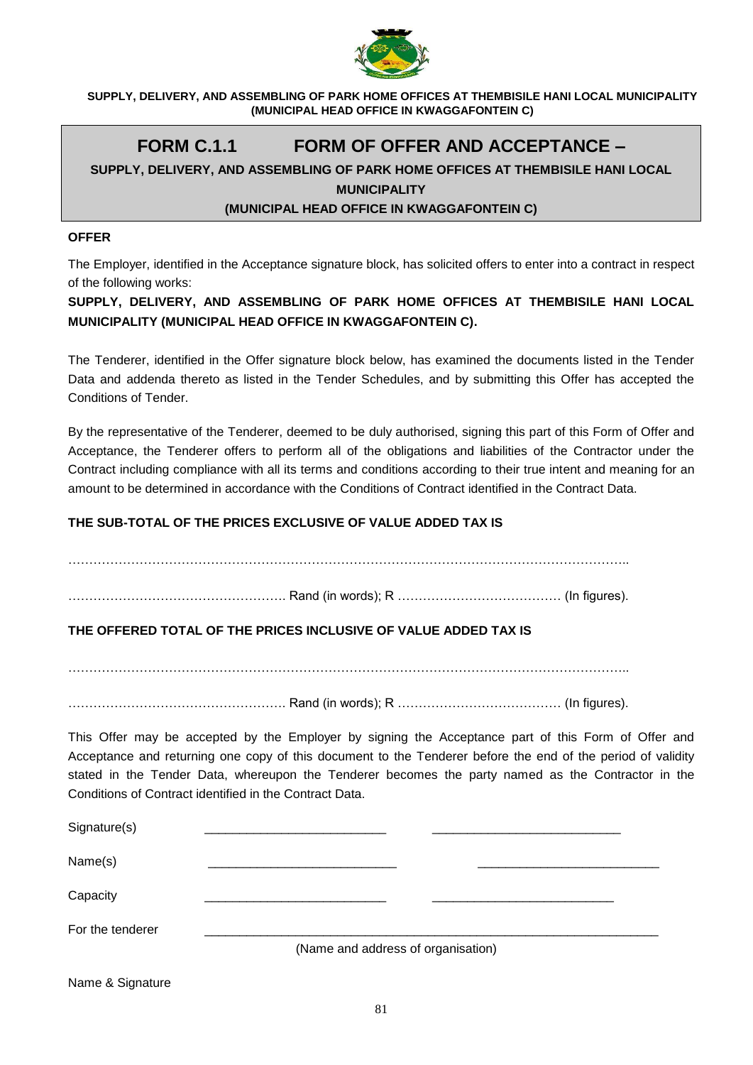

# **FORM C.1.1 FORM OF OFFER AND ACCEPTANCE –**

# **SUPPLY, DELIVERY, AND ASSEMBLING OF PARK HOME OFFICES AT THEMBISILE HANI LOCAL**

**MUNICIPALITY** 

## **(MUNICIPAL HEAD OFFICE IN KWAGGAFONTEIN C)**

#### **OFFER**

The Employer, identified in the Acceptance signature block, has solicited offers to enter into a contract in respect of the following works:

**SUPPLY, DELIVERY, AND ASSEMBLING OF PARK HOME OFFICES AT THEMBISILE HANI LOCAL MUNICIPALITY (MUNICIPAL HEAD OFFICE IN KWAGGAFONTEIN C).**

The Tenderer, identified in the Offer signature block below, has examined the documents listed in the Tender Data and addenda thereto as listed in the Tender Schedules, and by submitting this Offer has accepted the Conditions of Tender.

By the representative of the Tenderer, deemed to be duly authorised, signing this part of this Form of Offer and Acceptance, the Tenderer offers to perform all of the obligations and liabilities of the Contractor under the Contract including compliance with all its terms and conditions according to their true intent and meaning for an amount to be determined in accordance with the Conditions of Contract identified in the Contract Data.

## **THE SUB-TOTAL OF THE PRICES EXCLUSIVE OF VALUE ADDED TAX IS**

……………………………………………………………………………………………………………………..

……………………………………………. Rand (in words); R ………………………………… (In figures).

# **THE OFFERED TOTAL OF THE PRICES INCLUSIVE OF VALUE ADDED TAX IS**

……………………………………………………………………………………………………………………..

……………………………………………. Rand (in words); R ………………………………… (In figures).

This Offer may be accepted by the Employer by signing the Acceptance part of this Form of Offer and Acceptance and returning one copy of this document to the Tenderer before the end of the period of validity stated in the Tender Data, whereupon the Tenderer becomes the party named as the Contractor in the Conditions of Contract identified in the Contract Data.

| Signature(s)     |                                    |  |  |  |
|------------------|------------------------------------|--|--|--|
| Name(s)          |                                    |  |  |  |
| Capacity         |                                    |  |  |  |
| For the tenderer |                                    |  |  |  |
|                  | (Name and address of organisation) |  |  |  |

Name & Signature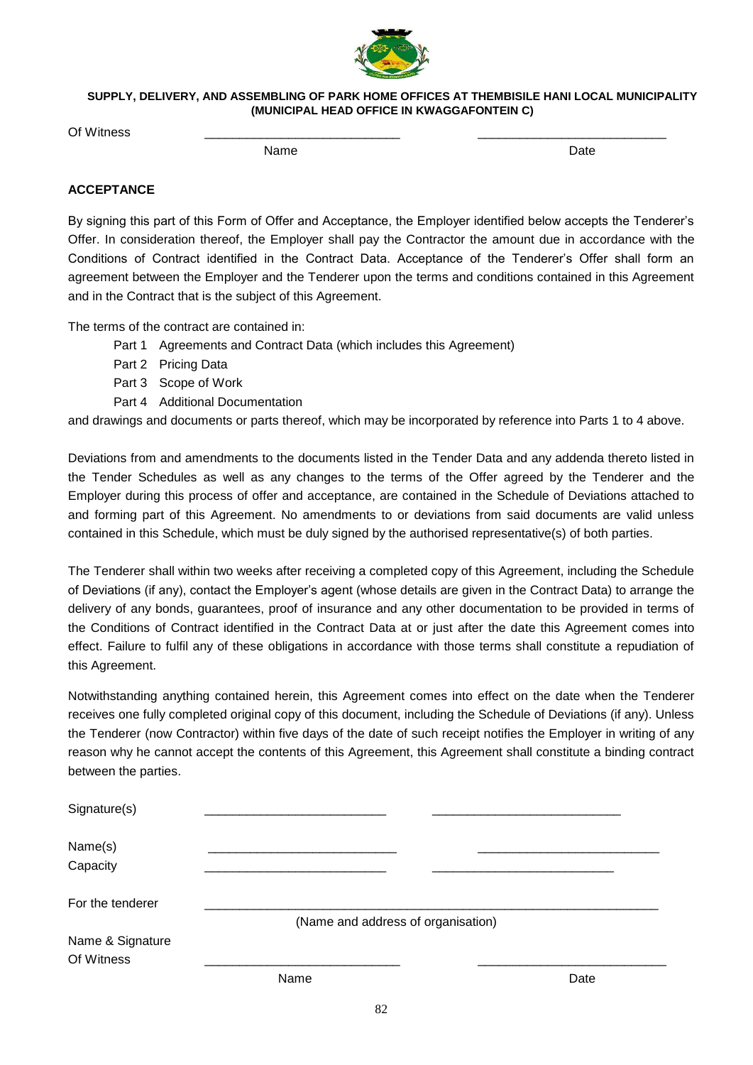

Of Witness \_\_\_\_\_\_\_\_\_\_\_\_\_\_\_\_\_\_\_\_\_\_\_\_\_\_\_\_ \_\_\_\_\_\_\_\_\_\_\_\_\_\_\_\_\_\_\_\_\_\_\_\_\_\_\_

name and the Date of the Date of the Date of the Date of the Date of the Date of the Date of the Date of the D

## **ACCEPTANCE**

By signing this part of this Form of Offer and Acceptance, the Employer identified below accepts the Tenderer's Offer. In consideration thereof, the Employer shall pay the Contractor the amount due in accordance with the Conditions of Contract identified in the Contract Data. Acceptance of the Tenderer's Offer shall form an agreement between the Employer and the Tenderer upon the terms and conditions contained in this Agreement and in the Contract that is the subject of this Agreement.

The terms of the contract are contained in:

- Part 1 Agreements and Contract Data (which includes this Agreement)
- Part 2 Pricing Data
- Part 3 Scope of Work
- Part 4 Additional Documentation

and drawings and documents or parts thereof, which may be incorporated by reference into Parts 1 to 4 above.

Deviations from and amendments to the documents listed in the Tender Data and any addenda thereto listed in the Tender Schedules as well as any changes to the terms of the Offer agreed by the Tenderer and the Employer during this process of offer and acceptance, are contained in the Schedule of Deviations attached to and forming part of this Agreement. No amendments to or deviations from said documents are valid unless contained in this Schedule, which must be duly signed by the authorised representative(s) of both parties.

The Tenderer shall within two weeks after receiving a completed copy of this Agreement, including the Schedule of Deviations (if any), contact the Employer's agent (whose details are given in the Contract Data) to arrange the delivery of any bonds, guarantees, proof of insurance and any other documentation to be provided in terms of the Conditions of Contract identified in the Contract Data at or just after the date this Agreement comes into effect. Failure to fulfil any of these obligations in accordance with those terms shall constitute a repudiation of this Agreement.

Notwithstanding anything contained herein, this Agreement comes into effect on the date when the Tenderer receives one fully completed original copy of this document, including the Schedule of Deviations (if any). Unless the Tenderer (now Contractor) within five days of the date of such receipt notifies the Employer in writing of any reason why he cannot accept the contents of this Agreement, this Agreement shall constitute a binding contract between the parties.

| Signature(s)                   |      |                                    |
|--------------------------------|------|------------------------------------|
| Name(s)<br>Capacity            |      |                                    |
| For the tenderer               |      | (Name and address of organisation) |
| Name & Signature<br>Of Witness |      |                                    |
|                                | Name | Date                               |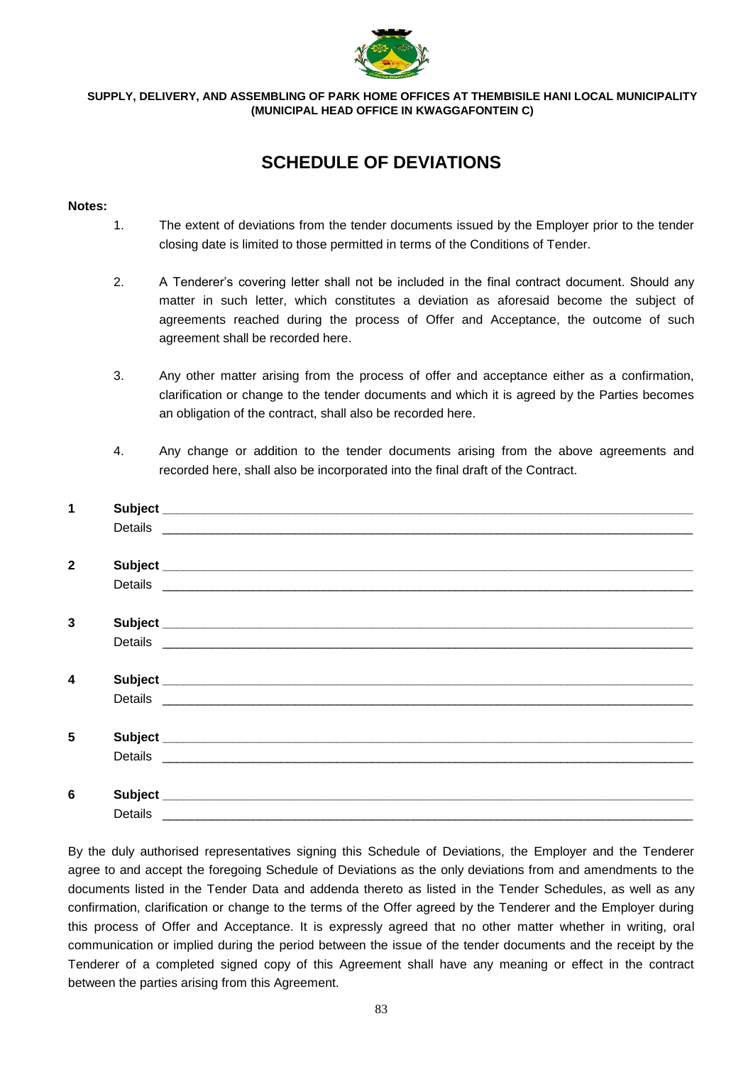

# **SCHEDULE OF DEVIATIONS**

#### **Notes:**

- 1. The extent of deviations from the tender documents issued by the Employer prior to the tender closing date is limited to those permitted in terms of the Conditions of Tender.
- 2. A Tenderer's covering letter shall not be included in the final contract document. Should any matter in such letter, which constitutes a deviation as aforesaid become the subject of agreements reached during the process of Offer and Acceptance, the outcome of such agreement shall be recorded here.
- 3. Any other matter arising from the process of offer and acceptance either as a confirmation, clarification or change to the tender documents and which it is agreed by the Parties becomes an obligation of the contract, shall also be recorded here.
- 4. Any change or addition to the tender documents arising from the above agreements and recorded here, shall also be incorporated into the final draft of the Contract.

| 1                       |                                                                                                                                                                                                                                |
|-------------------------|--------------------------------------------------------------------------------------------------------------------------------------------------------------------------------------------------------------------------------|
|                         |                                                                                                                                                                                                                                |
|                         |                                                                                                                                                                                                                                |
| $\mathbf{2}$            |                                                                                                                                                                                                                                |
|                         | Details experience and the contract of the contract of the contract of the contract of the contract of the contract of the contract of the contract of the contract of the contract of the contract of the contract of the con |
|                         |                                                                                                                                                                                                                                |
| 3                       |                                                                                                                                                                                                                                |
|                         | Details experience and the contract of the contract of the contract of the contract of the contract of the contract of the contract of the contract of the contract of the contract of the contract of the contract of the con |
|                         |                                                                                                                                                                                                                                |
| $\overline{\mathbf{4}}$ |                                                                                                                                                                                                                                |
|                         |                                                                                                                                                                                                                                |
|                         |                                                                                                                                                                                                                                |
| $5\phantom{1}$          |                                                                                                                                                                                                                                |
|                         |                                                                                                                                                                                                                                |
|                         |                                                                                                                                                                                                                                |
| 6                       |                                                                                                                                                                                                                                |
|                         | Details __________                                                                                                                                                                                                             |

By the duly authorised representatives signing this Schedule of Deviations, the Employer and the Tenderer agree to and accept the foregoing Schedule of Deviations as the only deviations from and amendments to the documents listed in the Tender Data and addenda thereto as listed in the Tender Schedules, as well as any confirmation, clarification or change to the terms of the Offer agreed by the Tenderer and the Employer during this process of Offer and Acceptance. It is expressly agreed that no other matter whether in writing, oral communication or implied during the period between the issue of the tender documents and the receipt by the Tenderer of a completed signed copy of this Agreement shall have any meaning or effect in the contract between the parties arising from this Agreement.